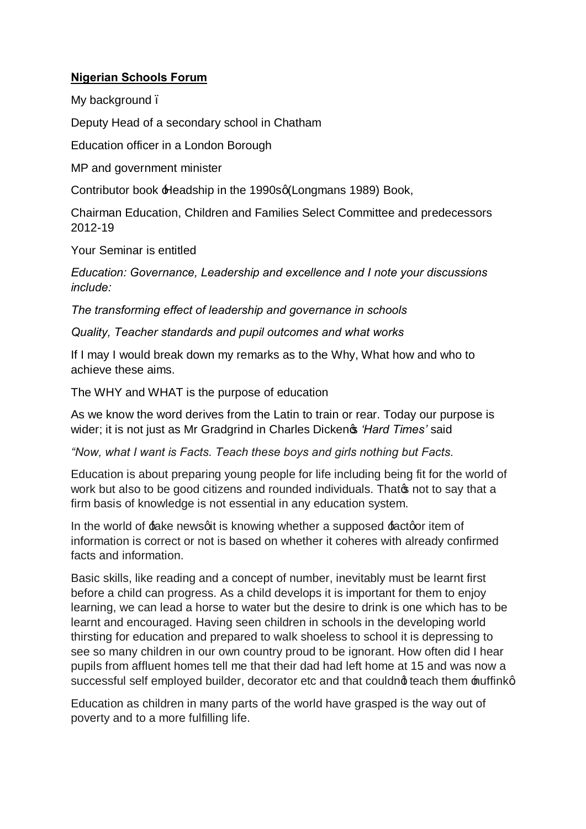## **Nigerian Schools Forum**

My background.

Deputy Head of a secondary school in Chatham

Education officer in a London Borough

MP and government minister

Contributor book **+**Headship in the 1990sq(Longmans 1989) Book,

Chairman Education, Children and Families Select Committee and predecessors 2012-19

Your Seminar is entitled

*Education: Governance, Leadership and excellence and I note your discussions include:*

*The transforming effect of leadership and governance in schools*

*Quality, Teacher standards and pupil outcomes and what works*

If I may I would break down my remarks as to the Why, What how and who to achieve these aims.

The WHY and WHAT is the purpose of education

As we know the word derives from the Latin to train or rear. Today our purpose is wider; it is not just as Mr Gradgrind in Charles Dicken  $\phi$  '*Hard Times'* said

*"Now, what I want is Facts. Teach these boys and girls nothing but Facts.*

Education is about preparing young people for life including being fit for the world of work but also to be good citizens and rounded individuals. Thato not to say that a firm basis of knowledge is not essential in any education system.

In the world of  $f$ ake newsgit is knowing whether a supposed  $f$ actgor item of information is correct or not is based on whether it coheres with already confirmed facts and information.

Basic skills, like reading and a concept of number, inevitably must be learnt first before a child can progress. As a child develops it is important for them to enjoy learning, we can lead a horse to water but the desire to drink is one which has to be learnt and encouraged. Having seen children in schools in the developing world thirsting for education and prepared to walk shoeless to school it is depressing to see so many children in our own country proud to be ignorant. How often did I hear pupils from affluent homes tell me that their dad had left home at 15 and was now a successful self employed builder, decorator etc and that couldnot teach them  $\texttt{multiplet}$ .

Education as children in many parts of the world have grasped is the way out of poverty and to a more fulfilling life.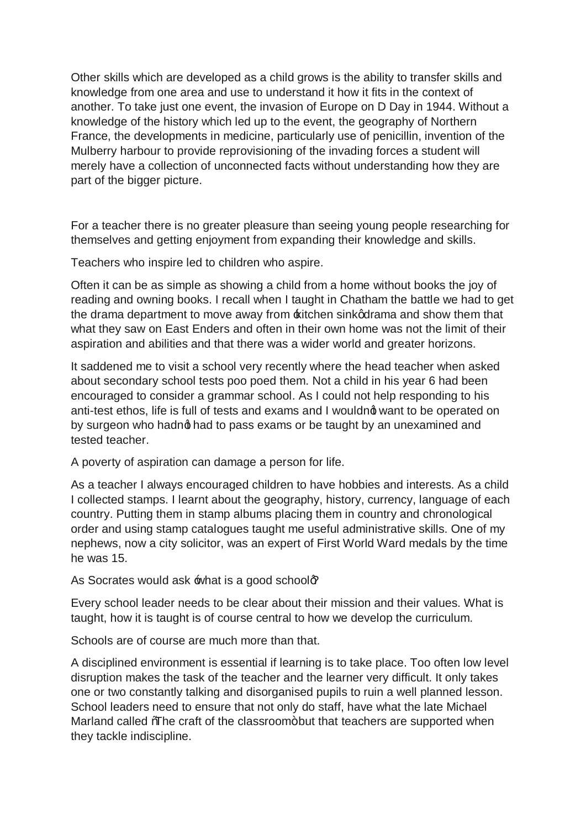Other skills which are developed as a child grows is the ability to transfer skills and knowledge from one area and use to understand it how it fits in the context of another. To take just one event, the invasion of Europe on D Day in 1944. Without a knowledge of the history which led up to the event, the geography of Northern France, the developments in medicine, particularly use of penicillin, invention of the Mulberry harbour to provide reprovisioning of the invading forces a student will merely have a collection of unconnected facts without understanding how they are part of the bigger picture.

For a teacher there is no greater pleasure than seeing young people researching for themselves and getting enjoyment from expanding their knowledge and skills.

Teachers who inspire led to children who aspire.

Often it can be as simple as showing a child from a home without books the joy of reading and owning books. I recall when I taught in Chatham the battle we had to get the drama department to move away from  $\pm$  itchen sink odrama and show them that what they saw on East Enders and often in their own home was not the limit of their aspiration and abilities and that there was a wider world and greater horizons.

It saddened me to visit a school very recently where the head teacher when asked about secondary school tests poo poed them. Not a child in his year 6 had been encouraged to consider a grammar school. As I could not help responding to his anti-test ethos, life is full of tests and exams and I wouldnot want to be operated on by surgeon who hadng had to pass exams or be taught by an unexamined and tested teacher.

A poverty of aspiration can damage a person for life.

As a teacher I always encouraged children to have hobbies and interests. As a child I collected stamps. I learnt about the geography, history, currency, language of each country. Putting them in stamp albums placing them in country and chronological order and using stamp catalogues taught me useful administrative skills. One of my nephews, now a city solicitor, was an expert of First World Ward medals by the time he was 15.

As Socrates would ask  $\text{what}$  is a good schoolog

Every school leader needs to be clear about their mission and their values. What is taught, how it is taught is of course central to how we develop the curriculum.

Schools are of course are much more than that.

A disciplined environment is essential if learning is to take place. Too often low level disruption makes the task of the teacher and the learner very difficult. It only takes one or two constantly talking and disorganised pupils to ruin a well planned lesson. School leaders need to ensure that not only do staff, have what the late Michael Marland called *The* craft of the classroom+but that teachers are supported when they tackle indiscipline.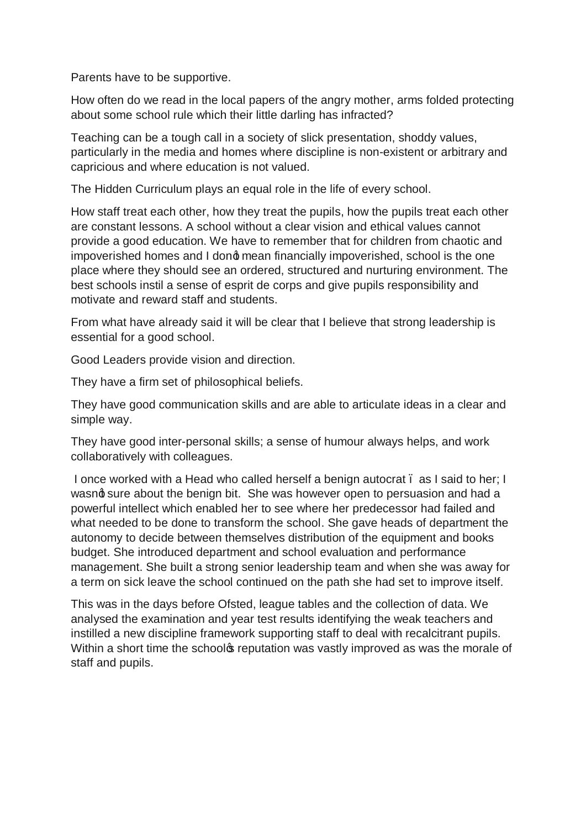Parents have to be supportive.

How often do we read in the local papers of the angry mother, arms folded protecting about some school rule which their little darling has infracted?

Teaching can be a tough call in a society of slick presentation, shoddy values, particularly in the media and homes where discipline is non-existent or arbitrary and capricious and where education is not valued.

The Hidden Curriculum plays an equal role in the life of every school.

How staff treat each other, how they treat the pupils, how the pupils treat each other are constant lessons. A school without a clear vision and ethical values cannot provide a good education. We have to remember that for children from chaotic and impoverished homes and I dong mean financially impoverished, school is the one place where they should see an ordered, structured and nurturing environment. The best schools instil a sense of esprit de corps and give pupils responsibility and motivate and reward staff and students.

From what have already said it will be clear that I believe that strong leadership is essential for a good school.

Good Leaders provide vision and direction.

They have a firm set of philosophical beliefs.

They have good communication skills and are able to articulate ideas in a clear and simple way.

They have good inter-personal skills; a sense of humour always helps, and work collaboratively with colleagues.

I once worked with a Head who called herself a benign autocrat. as I said to her; I wasnd sure about the benign bit. She was however open to persuasion and had a powerful intellect which enabled her to see where her predecessor had failed and what needed to be done to transform the school. She gave heads of department the autonomy to decide between themselves distribution of the equipment and books budget. She introduced department and school evaluation and performance management. She built a strong senior leadership team and when she was away for a term on sick leave the school continued on the path she had set to improve itself.

This was in the days before Ofsted, league tables and the collection of data. We analysed the examination and year test results identifying the weak teachers and instilled a new discipline framework supporting staff to deal with recalcitrant pupils. Within a short time the schoolos reputation was vastly improved as was the morale of staff and pupils.